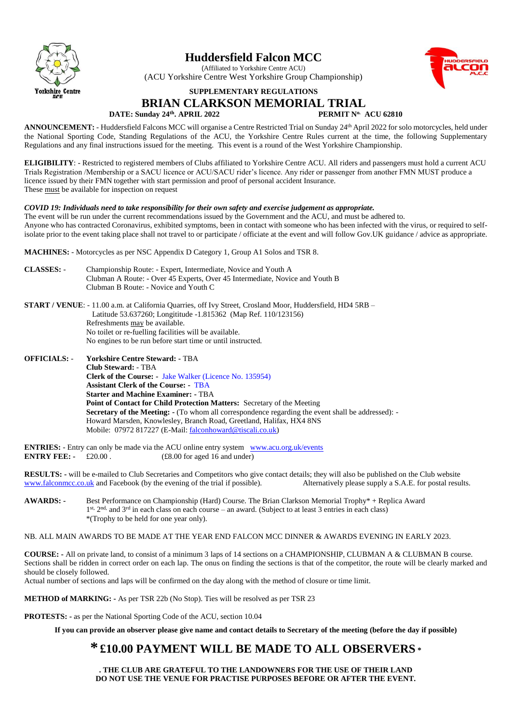

# **Huddersfield Falcon MCC**

(Affiliated to Yorkshire Centre ACU) (ACU Yorkshire Centre West Yorkshire Group Championship)



# **SUPPLEMENTARY REGULATIONS**

## **BRIAN CLARKSON MEMORIAL TRIAL**

#### **DATE: Sunday 24 th**

**. APRIL 2022 PERMIT No. ACU 62810**

ANNOUNCEMENT: - Huddersfield Falcons MCC will organise a Centre Restricted Trial on Sunday 24<sup>th</sup> April 2022 for solo motorcycles, held under the National Sporting Code, Standing Regulations of the ACU, the Yorkshire Centre Rules current at the time, the following Supplementary Regulations and any final instructions issued for the meeting. This event is a round of the West Yorkshire Championship.

**ELIGIBILITY**: - Restricted to registered members of Clubs affiliated to Yorkshire Centre ACU. All riders and passengers must hold a current ACU Trials Registration /Membership or a SACU licence or ACU/SACU rider's licence. Any rider or passenger from another FMN MUST produce a licence issued by their FMN together with start permission and proof of personal accident Insurance. These must be available for inspection on request

### *COVID 19: Individuals need to take responsibility for their own safety and exercise judgement as appropriate.*

The event will be run under the current recommendations issued by the Government and the ACU, and must be adhered to. Anyone who has contracted Coronavirus, exhibited symptoms, been in contact with someone who has been infected with the virus, or required to selfisolate prior to the event taking place shall not travel to or participate / officiate at the event and will follow Gov.UK guidance / advice as appropriate.

**MACHINES:** - Motorcycles as per NSC Appendix D Category 1, Group A1 Solos and TSR 8.

**CLASSES:** - Championship Route: - Expert, Intermediate, Novice and Youth A Clubman A Route: - Over 45 Experts, Over 45 Intermediate, Novice and Youth B Clubman B Route: - Novice and Youth C

**START / VENUE**: - 11.00 a.m. at California Quarries, off Ivy Street, Crosland Moor, Huddersfield, HD4 5RB – Latitude 53.637260; Longititude -1.815362 (Map Ref. 110/123156) Refreshments may be available. No toilet or re-fuelling facilities will be available. No engines to be run before start time or until instructed.

**OFFICIALS:** - **Yorkshire Centre Steward: -** TBA **Club Steward:** - TBA  **Clerk of the Course: -** Jake Walker (Licence No. 135954) **Assistant Clerk of the Course: -** TBA **Starter and Machine Examiner: -** TBA **Point of Contact for Child Protection Matters:** Secretary of the Meeting **Secretary of the Meeting: -** (To whom all correspondence regarding the event shall be addressed): -Howard Marsden, Knowlesley, Branch Road, Greetland, Halifax, HX4 8NS Mobile: 07972 817227 (E-Mail[: falconhoward@tiscali.co.uk\)](mailto:falconhoward@tiscali.co.uk)

**ENTRIES:** - Entry can only be made via the ACU online entry system [www.acu.org.uk/events](http://www.acu.org.uk/events)<br>**ENTRY FEE:** - £20.00. (£8.00 for aged 16 and under)  $(E8.00$  for aged 16 and under)

**RESULTS:** - will be e-mailed to Club Secretaries and Competitors who give contact details; they will also be published on the Club website www.falconmcc.co.uk and Facebook (by the evening of the trial if possible). Altern [www.falconmcc.co.uk](http://www.falconmcc.co.uk/) and Facebook (by the evening of the trial if possible).

**AWARDS: -** Best Performance on Championship (Hard) Course. The Brian Clarkson Memorial Trophy\* + Replica Award 1<sup>st, 2nd,</sup> and 3<sup>rd</sup> in each class on each course – an award. (Subject to at least 3 entries in each class) \*(Trophy to be held for one year only).

NB. ALL MAIN AWARDS TO BE MADE AT THE YEAR END FALCON MCC DINNER & AWARDS EVENING IN EARLY 2023.

**COURSE: -** All on private land, to consist of a minimum 3 laps of 14 sections on a CHAMPIONSHIP, CLUBMAN A & CLUBMAN B course. Sections shall be ridden in correct order on each lap. The onus on finding the sections is that of the competitor, the route will be clearly marked and should be closely followed.

Actual number of sections and laps will be confirmed on the day along with the method of closure or time limit.

**METHOD of MARKING: -** As per TSR 22b (No Stop). Ties will be resolved as per TSR 23

**PROTESTS: -** as per the National Sporting Code of the ACU, section 10.04

**If you can provide an observer please give name and contact details to Secretary of the meeting (before the day if possible)**

# **\* £10.00 PAYMENT WILL BE MADE TO ALL OBSERVERS \***

**. THE CLUB ARE GRATEFUL TO THE LANDOWNERS FOR THE USE OF THEIR LAND DO NOT USE THE VENUE FOR PRACTISE PURPOSES BEFORE OR AFTER THE EVENT.**